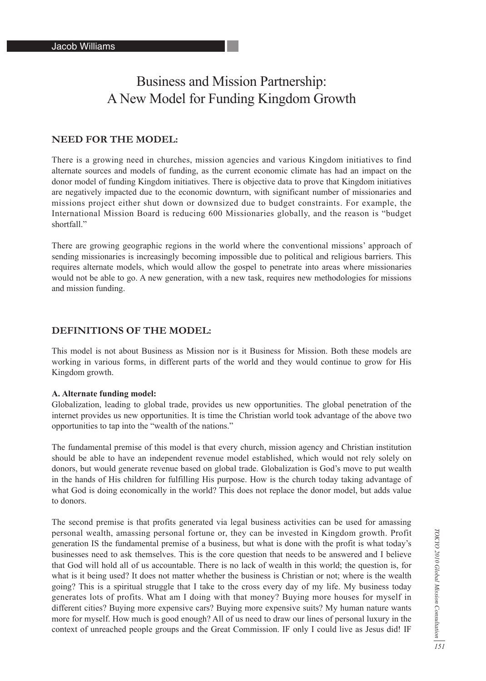# Business and Mission Partnership: A New Model for Funding Kingdom Growth

## **NEED FOR THE MODEL:**

There is a growing need in churches, mission agencies and various Kingdom initiatives to find alternate sources and models of funding, as the current economic climate has had an impact on the donor model of funding Kingdom initiatives. There is objective data to prove that Kingdom initiatives are negatively impacted due to the economic downturn, with significant number of missionaries and missions project either shut down or downsized due to budget constraints. For example, the International Mission Board is reducing 600 Missionaries globally, and the reason is "budget shortfall."

There are growing geographic regions in the world where the conventional missions' approach of sending missionaries is increasingly becoming impossible due to political and religious barriers. This requires alternate models, which would allow the gospel to penetrate into areas where missionaries would not be able to go. A new generation, with a new task, requires new methodologies for missions and mission funding.

# **DEFINITIONS OF THE MODEL:**

This model is not about Business as Mission nor is it Business for Mission. Both these models are working in various forms, in different parts of the world and they would continue to grow for His Kingdom growth.

#### **A. Alternate funding model:**

Globalization, leading to global trade, provides us new opportunities. The global penetration of the internet provides us new opportunities. It is time the Christian world took advantage of the above two opportunities to tap into the "wealth of the nations."

The fundamental premise of this model is that every church, mission agency and Christian institution should be able to have an independent revenue model established, which would not rely solely on donors, but would generate revenue based on global trade. Globalization is God's move to put wealth in the hands of His children for fulfilling His purpose. How is the church today taking advantage of what God is doing economically in the world? This does not replace the donor model, but adds value to donors.

The second premise is that profits generated via legal business activities can be used for amassing personal wealth, amassing personal fortune or, they can be invested in Kingdom growth. Profit generation IS the fundamental premise of a business, but what is done with the profit is what today's businesses need to ask themselves. This is the core question that needs to be answered and I believe that God will hold all of us accountable. There is no lack of wealth in this world; the question is, for what is it being used? It does not matter whether the business is Christian or not; where is the wealth going? This is a spiritual struggle that I take to the cross every day of my life. My business today generates lots of profits. What am I doing with that money? Buying more houses for myself in different cities? Buying more expensive cars? Buying more expensive suits? My human nature wants more for myself. How much is good enough? All of us need to draw our lines of personal luxury in the context of unreached people groups and the Great Commission. IF only I could live as Jesus did! IF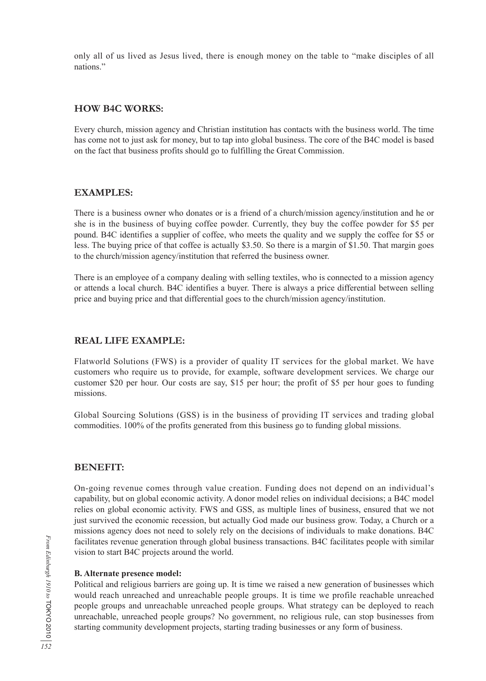only all of us lived as Jesus lived, there is enough money on the table to "make disciples of all nations<sup>"</sup>

## **HOW B4C WORKS:**

Every church, mission agency and Christian institution has contacts with the business world. The time has come not to just ask for money, but to tap into global business. The core of the B4C model is based on the fact that business profits should go to fulfilling the Great Commission.

## **EXAMPLES:**

There is a business owner who donates or is a friend of a church/mission agency/institution and he or she is in the business of buying coffee powder. Currently, they buy the coffee powder for \$5 per pound. B4C identifies a supplier of coffee, who meets the quality and we supply the coffee for \$5 or less. The buying price of that coffee is actually \$3.50. So there is a margin of \$1.50. That margin goes to the church/mission agency/institution that referred the business owner.

There is an employee of a company dealing with selling textiles, who is connected to a mission agency or attends a local church. B4C identifies a buyer. There is always a price differential between selling price and buying price and that differential goes to the church/mission agency/institution.

# **REAL LIFE EXAMPLE:**

Flatworld Solutions (FWS) is a provider of quality IT services for the global market. We have customers who require us to provide, for example, software development services. We charge our customer \$20 per hour. Our costs are say, \$15 per hour; the profit of \$5 per hour goes to funding missions.

Global Sourcing Solutions (GSS) is in the business of providing IT services and trading global commodities. 100% of the profits generated from this business go to funding global missions.

## **BENEFIT:**

On-going revenue comes through value creation. Funding does not depend on an individual's capability, but on global economic activity. A donor model relies on individual decisions; a B4C model relies on global economic activity. FWS and GSS, as multiple lines of business, ensured that we not just survived the economic recession, but actually God made our business grow. Today, a Church or a missions agency does not need to solely rely on the decisions of individuals to make donations. B4C facilitates revenue generation through global business transactions. B4C facilitates people with similar vision to start B4C projects around the world.

#### **B. Alternate presence model:**

Political and religious barriers are going up. It is time we raised a new generation of businesses which would reach unreached and unreachable people groups. It is time we profile reachable unreached people groups and unreachable unreached people groups. What strategy can be deployed to reach unreachable, unreached people groups? No government, no religious rule, can stop businesses from starting community development projects, starting trading businesses or any form of business.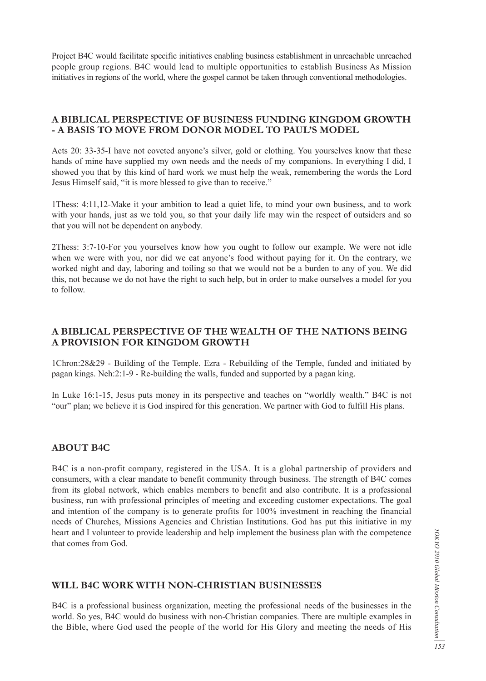Project B4C would facilitate specific initiatives enabling business establishment in unreachable unreached people group regions. B4C would lead to multiple opportunities to establish Business As Mission initiatives in regions of the world, where the gospel cannot be taken through conventional methodologies.

#### **A BIBLICAL PERSPECTIVE OF BUSINESS FUNDING KINGDOM GROWTH - A BASIS TO MOVE FROM DONOR MODEL TO PAUL'S MODEL**

Acts 20: 33-35-I have not coveted anyone's silver, gold or clothing. You yourselves know that these hands of mine have supplied my own needs and the needs of my companions. In everything I did, I showed you that by this kind of hard work we must help the weak, remembering the words the Lord Jesus Himself said, "it is more blessed to give than to receive."

1Thess: 4:11,12-Make it your ambition to lead a quiet life, to mind your own business, and to work with your hands, just as we told you, so that your daily life may win the respect of outsiders and so that you will not be dependent on anybody.

2Thess: 3:7-10-For you yourselves know how you ought to follow our example. We were not idle when we were with you, nor did we eat anyone's food without paying for it. On the contrary, we worked night and day, laboring and toiling so that we would not be a burden to any of you. We did this, not because we do not have the right to such help, but in order to make ourselves a model for you to follow.

## **A BIBLICAL PERSPECTIVE OF THE WEALTH OF THE NATIONS BEING A PROVISION FOR KINGDOM GROWTH**

1Chron:28&29 - Building of the Temple. Ezra - Rebuilding of the Temple, funded and initiated by pagan kings. Neh:2:1-9 - Re-building the walls, funded and supported by a pagan king.

In Luke 16:1-15, Jesus puts money in its perspective and teaches on "worldly wealth." B4C is not "our" plan; we believe it is God inspired for this generation. We partner with God to fulfill His plans.

## **ABOUT B4C**

B4C is a non-profit company, registered in the USA. It is a global partnership of providers and consumers, with a clear mandate to benefit community through business. The strength of B4C comes from its global network, which enables members to benefit and also contribute. It is a professional business, run with professional principles of meeting and exceeding customer expectations. The goal and intention of the company is to generate profits for 100% investment in reaching the financial needs of Churches, Missions Agencies and Christian Institutions. God has put this initiative in my heart and I volunteer to provide leadership and help implement the business plan with the competence that comes from God.

#### **WILL B4C WORK WITH NON-CHRISTIAN BUSINESSES**

B4C is a professional business organization, meeting the professional needs of the businesses in the world. So yes, B4C would do business with non-Christian companies. There are multiple examples in the Bible, where God used the people of the world for His Glory and meeting the needs of His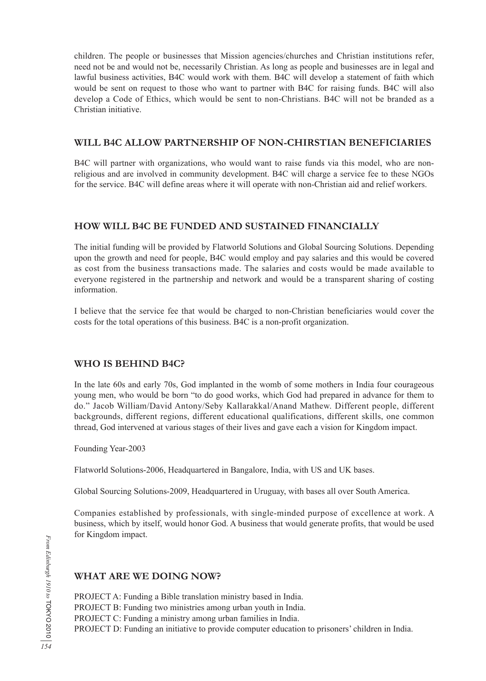children. The people or businesses that Mission agencies/churches and Christian institutions refer, need not be and would not be, necessarily Christian. As long as people and businesses are in legal and lawful business activities, B4C would work with them. B4C will develop a statement of faith which would be sent on request to those who want to partner with B4C for raising funds. B4C will also develop a Code of Ethics, which would be sent to non-Christians. B4C will not be branded as a Christian initiative.

## **WILL B4C ALLOW PARTNERSHIP OF NON-CHIRSTIAN BENEFICIARIES**

B4C will partner with organizations, who would want to raise funds via this model, who are nonreligious and are involved in community development. B4C will charge a service fee to these NGOs for the service. B4C will define areas where it will operate with non-Christian aid and relief workers.

# **HOW WILL B4C BE FUNDED AND SUSTAINED FINANCIALLY**

The initial funding will be provided by Flatworld Solutions and Global Sourcing Solutions. Depending upon the growth and need for people, B4C would employ and pay salaries and this would be covered as cost from the business transactions made. The salaries and costs would be made available to everyone registered in the partnership and network and would be a transparent sharing of costing information.

I believe that the service fee that would be charged to non-Christian beneficiaries would cover the costs for the total operations of this business. B4C is a non-profit organization.

# **WHO IS BEHIND B4C?**

In the late 60s and early 70s, God implanted in the womb of some mothers in India four courageous young men, who would be born "to do good works, which God had prepared in advance for them to do." Jacob William/David Antony/Seby Kallarakkal/Anand Mathew. Different people, different backgrounds, different regions, different educational qualifications, different skills, one common thread, God intervened at various stages of their lives and gave each a vision for Kingdom impact.

Founding Year-2003

Flatworld Solutions-2006, Headquartered in Bangalore, India, with US and UK bases.

Global Sourcing Solutions-2009, Headquartered in Uruguay, with bases all over South America.

Companies established by professionals, with single-minded purpose of excellence at work. A business, which by itself, would honor God. A business that would generate profits, that would be used for Kingdom impact.

# **WHAT ARE WE DOING NOW?**

PROJECT A: Funding a Bible translation ministry based in India.

PROJECT B: Funding two ministries among urban youth in India.

PROJECT C: Funding a ministry among urban families in India.

PROJECT D: Funding an initiative to provide computer education to prisoners' children in India.